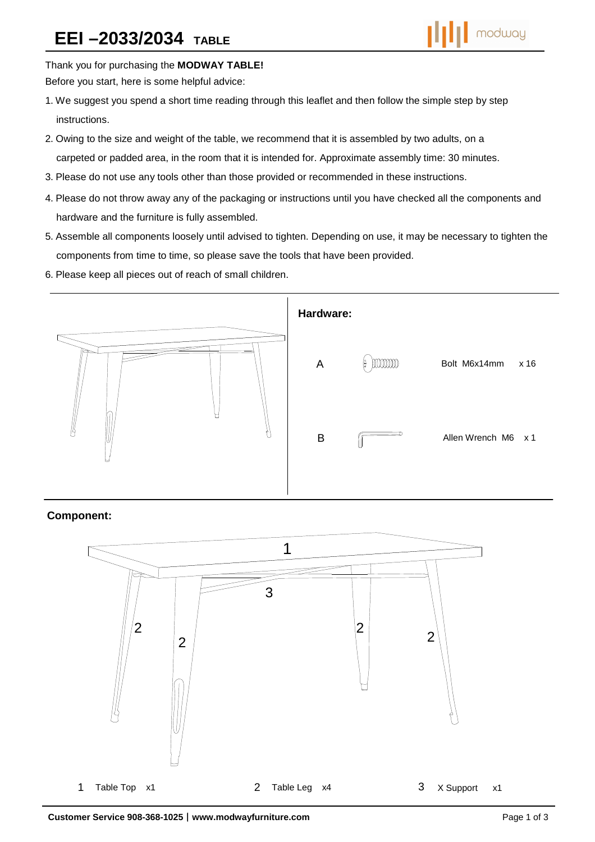

Thank you for purchasing the **MODWAY TABLE!** 

Before you start, here is some helpful advice:

- 1.We suggest you spend a short time reading through this leaflet and then follow the simple step by step instructions.
- 2.Owing to the size and weight of the table, we recommend that it is assembled by two adults, on a carpeted or padded area, in the room that it is intended for. Approximate assembly time: 30 minutes.
- 3.Please do not use any tools other than those provided or recommended in these instructions.
- 4.Please do not throw away any of the packaging or instructions until you have checked all the components and hardware and the furniture is fully assembled.
- 5.Assemble all components loosely until advised to tighten. Depending on use, it may be necessary to tighten the components from time to time, so please save the tools that have been provided.
- 6.Please keep all pieces out of reach of small children.



## **Component:**

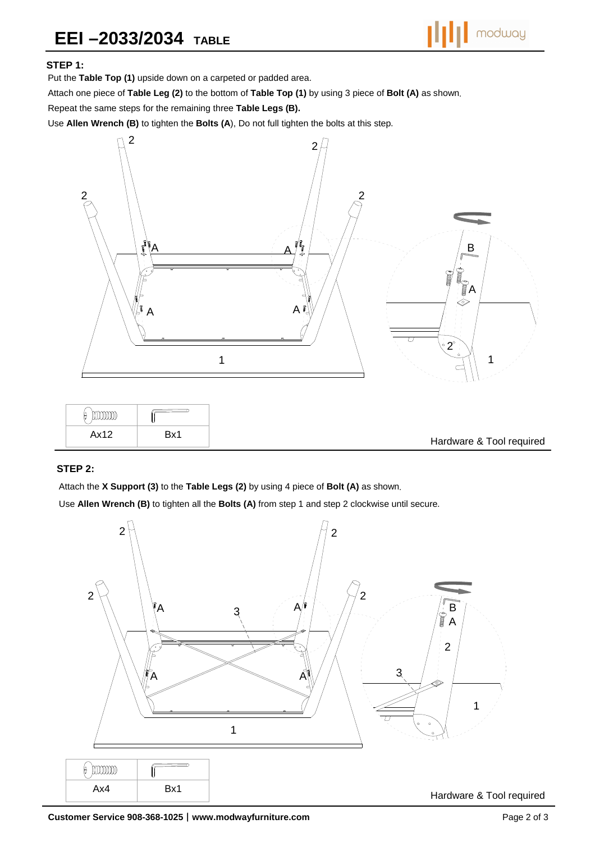## **STEP 1:**

Put the **Table Top (1)** upside down on a carpeted or padded area.

Attach one piece of **Table Leg (2)** to the bottom of **Table Top (1)** by using 3 piece of **Bolt (A)** as shown.

Repeat the same steps for the remaining three **Table Legs (B).**

Use **Allen Wrench (B)** to tighten the **Bolts (A**), Do not full tighten the bolts at this step.



| mm   |     |
|------|-----|
| Ax12 | Bx١ |

## **STEP 2:**

Attach the **X Support (3)** to the **Table Legs (2)** by using 4 piece of **Bolt (A)** as shown.

Use **Allen Wrench (B)** to tighten all the **Bolts (A)** from step 1 and step 2 clockwise until secure.